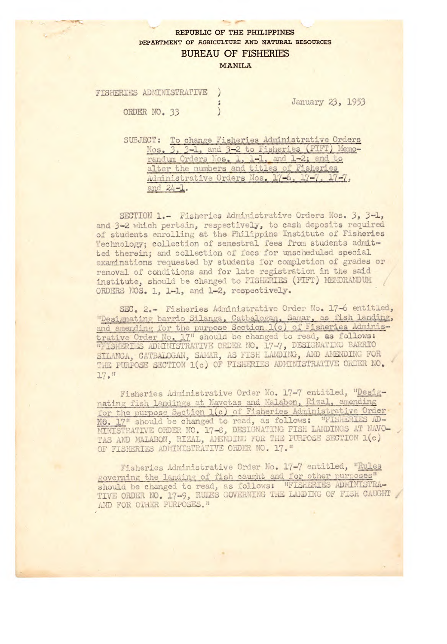## REPUBLIC OF THE PHILIPPINES DEPARTMENT OF AGRICULTURE AND NATURAL RESOURCES **BUREAU OF FISHERIES**

MANILA

FISHERIES ADMINISTRATIVE  $\mathcal{C}$ ORDER NO. 33

January 23, 1953

SUBJECT: To change Fisheries Administrative Orders Nos. 3, 3-1, and 3-2 to Fisheries (PIFT) Memorandum Orders Nos. 1, 1-1, and 1-2; and to alter the numbers and titles of Fisheries Administrative Orders Nos. 17-6, 17-7, 17-7, and 24-1.

SECTION 1.- Fisheries Administrative Orders Nos. 3, 3-1, and 3-2 which pertain, respectively, to cash deposits required of students enrolling at the Philippine Institute of Fisheries Technology; collection of semestral fees from students admitted therein: and collection of fees for unscheduled special examinations requested by students for completion of grades or removal of conditions and for late registration in the said institute, should be changed to FISHERIES (PIFT) MEMORANDUM ORDERS NOS. 1, 1-1, and 1-2, respectively.

SEC. 2.- Fisheries Administrative Order No. 17-6 entitled, "Designating barrio Silanga, Catbalogan, Samar, as fish landing, and amending for the purpose Section 1(c) of Fisheries Administrative Order No. 17" should be changed to read, as follows: "FISHERIES ADMINISTRATIVE ORDER NO. 17-7, DESIGNATING BARRIO SILANGA, CATBALOGAN, SAMAR, AS FISH LANDING, AND AMENDING FOR THE PURPOSE SECTION 1(c) OF FISHERIES ADMINISTRATIVE ORDER NO.  $17.$ "

Fisheries Administrative Order No. 17-7 entitled, "Designating fish landings at Navotas and Malabon, Rizal, amending for the purpose Section 1(c) of Fisheries Administrative Order<br>No. 17" should be changed to read, as follows: "FISHERIES AD-MINISTRATIVE ORDER NO. 17-6, DESIGNATING FISH LANDINGS AT NAVO-TAS AND MALABON, RIZAL, AMENDING FOR THE PURPOSE SECTION 1(c) OF FISHERIES ADMINISTRATIVE ORDER NO. 17."

Fisheries Administrative Order No. 17-7 entitled, "Rules governing the landing of fish caught and for other purposes" should be changed to read, as follows: "FISHERIES ADMINISTRA-TIVE ORDER NO. 17-9, RULES GOVERNING THE LANDING OF FISH CAUGHT AND FOR OTHER PURPOSES."